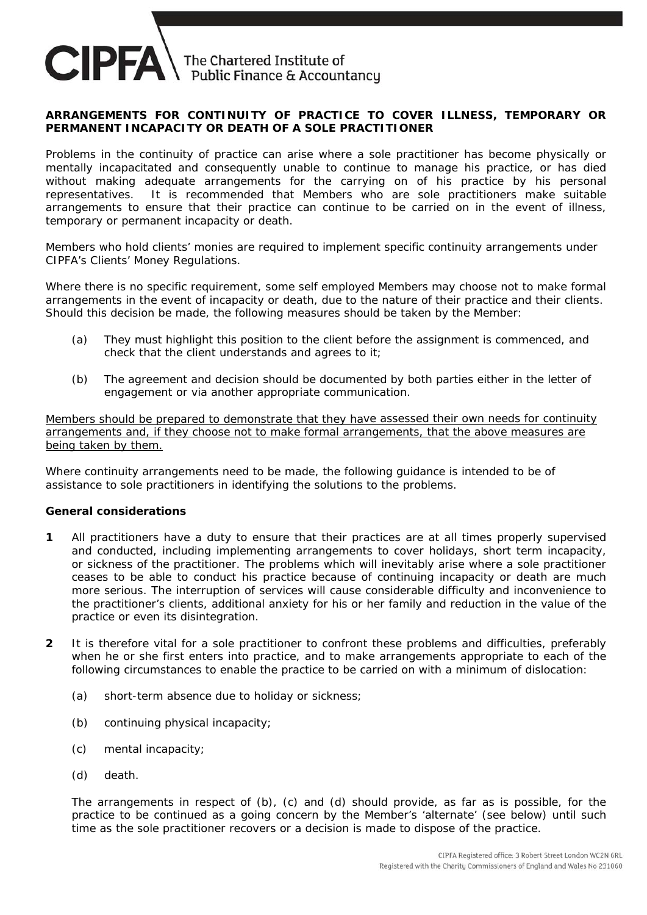

## **ARRANGEMENTS FOR CONTINUITY OF PRACTICE TO COVER ILLNESS, TEMPORARY OR PERMANENT INCAPACITY OR DEATH OF A SOLE PRACTITIONER**

Problems in the continuity of practice can arise where a sole practitioner has become physically or mentally incapacitated and consequently unable to continue to manage his practice, or has died without making adequate arrangements for the carrying on of his practice by his personal representatives. It is recommended that Members who are sole practitioners make suitable arrangements to ensure that their practice can continue to be carried on in the event of illness, temporary or permanent incapacity or death.

Members who hold clients' monies are required to implement specific continuity arrangements under CIPFA's Clients' Money Regulations.

Where there is no specific requirement, some self employed Members may choose not to make formal arrangements in the event of incapacity or death, due to the nature of their practice and their clients. Should this decision be made, the following measures should be taken by the Member:

- (a) They must highlight this position to the client before the assignment is commenced, and check that the client understands and agrees to it;
- (b) The agreement and decision should be documented by both parties either in the letter of engagement or via another appropriate communication.

Members should be prepared to demonstrate that they have assessed their own needs for continuity arrangements and, if they choose not to make formal arrangements, that the above measures are being taken by them.

Where continuity arrangements need to be made, the following guidance is intended to be of assistance to sole practitioners in identifying the solutions to the problems.

## **General considerations**

- **1** All practitioners have a duty to ensure that their practices are at all times properly supervised and conducted, including implementing arrangements to cover holidays, short term incapacity, or sickness of the practitioner. The problems which will inevitably arise where a sole practitioner ceases to be able to conduct his practice because of continuing incapacity or death are much more serious. The interruption of services will cause considerable difficulty and inconvenience to the practitioner's clients, additional anxiety for his or her family and reduction in the value of the practice or even its disintegration.
- **2** It is therefore vital for a sole practitioner to confront these problems and difficulties, preferably when he or she first enters into practice, and to make arrangements appropriate to each of the following circumstances to enable the practice to be carried on with a minimum of dislocation:
	- (a) short-term absence due to holiday or sickness;
	- (b) continuing physical incapacity;
	- (c) mental incapacity;
	- (d) death.

The arrangements in respect of (b), (c) and (d) should provide, as far as is possible, for the practice to be continued as a going concern by the Member's 'alternate' (see below) until such time as the sole practitioner recovers or a decision is made to dispose of the practice.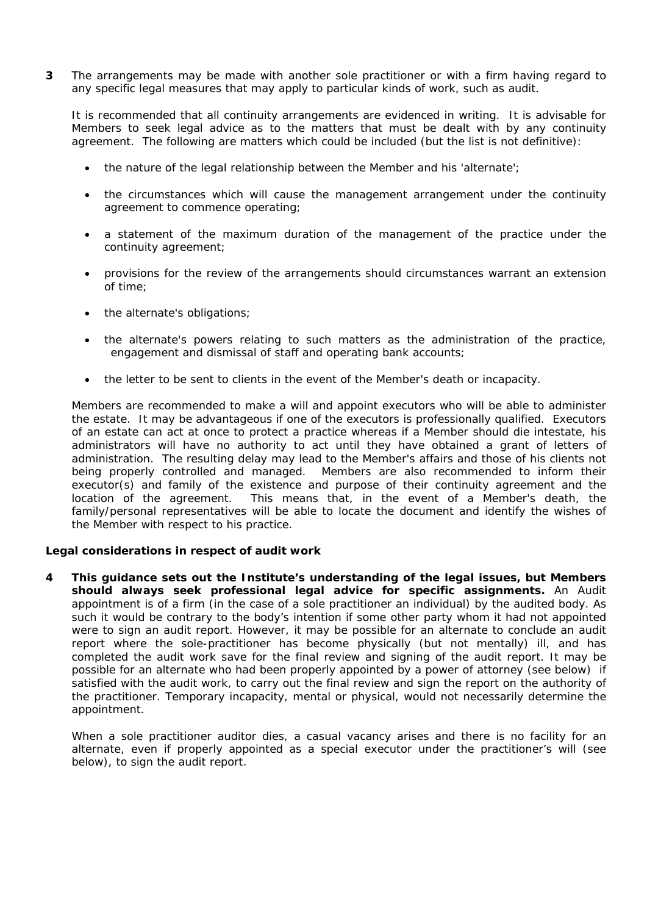**3** The arrangements may be made with another sole practitioner or with a firm having regard to any specific legal measures that may apply to particular kinds of work, such as audit.

It is recommended that all continuity arrangements are evidenced in writing. It is advisable for Members to seek legal advice as to the matters that must be dealt with by any continuity agreement. The following are matters which could be included (but the list is not definitive):

- the nature of the legal relationship between the Member and his 'alternate';
- the circumstances which will cause the management arrangement under the continuity agreement to commence operating;
- a statement of the maximum duration of the management of the practice under the continuity agreement;
- provisions for the review of the arrangements should circumstances warrant an extension of time;
- the alternate's obligations;
- the alternate's powers relating to such matters as the administration of the practice, engagement and dismissal of staff and operating bank accounts;
- the letter to be sent to clients in the event of the Member's death or incapacity.

Members are recommended to make a will and appoint executors who will be able to administer the estate. It may be advantageous if one of the executors is professionally qualified. Executors of an estate can act at once to protect a practice whereas if a Member should die intestate, his administrators will have no authority to act until they have obtained a grant of letters of administration. The resulting delay may lead to the Member's affairs and those of his clients not being properly controlled and managed. Members are also recommended to inform their executor(s) and family of the existence and purpose of their continuity agreement and the location of the agreement. This means that, in the event of a Member's death, the family/personal representatives will be able to locate the document and identify the wishes of the Member with respect to his practice.

## **Legal considerations in respect of audit work**

**4** *This guidance sets out the Institute's understanding of the legal issues, but Members should always seek professional legal advice for specific assignments.* An Audit appointment is of a firm (in the case of a sole practitioner an individual) by the audited body. As such it would be contrary to the body's intention if some other party whom it had not appointed were to sign an audit report. However, it may be possible for an alternate to conclude an audit report where the sole-practitioner has become physically (but not mentally) ill, and has completed the audit work save for the final review and signing of the audit report. It may be possible for an alternate who had been properly appointed by a power of attorney (see below) if satisfied with the audit work, to carry out the final review and sign the report on the authority of the practitioner. Temporary incapacity, mental or physical, would not necessarily determine the appointment.

When a sole practitioner auditor dies, a casual vacancy arises and there is no facility for an alternate, even if properly appointed as a special executor under the practitioner's will (see below), to sign the audit report.